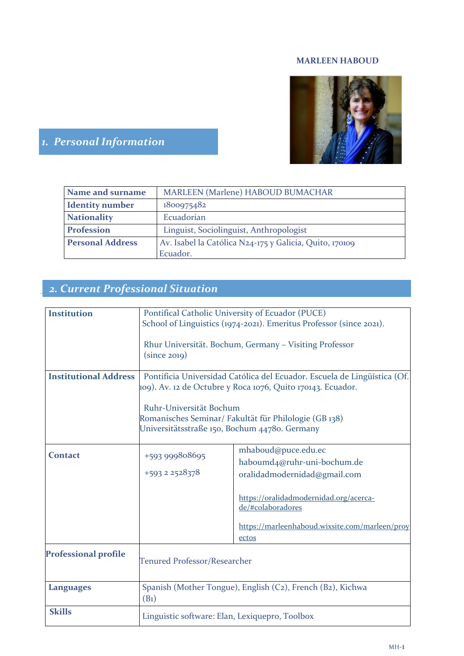## **MARLEEN HABOUD**



# *1. Personal Information*

| Name and surname        | MARLEEN (Marlene) HABOUD BUMACHAR                       |  |  |
|-------------------------|---------------------------------------------------------|--|--|
| <b>Identity number</b>  | 1800975482                                              |  |  |
| <b>Nationality</b>      | Ecuadorian                                              |  |  |
| Profession              | Linguist, Sociolinguist, Anthropologist                 |  |  |
| <b>Personal Address</b> | Av. Isabel la Católica N24-175 y Galicia, Quito, 170109 |  |  |
|                         | Ecuador.                                                |  |  |

# *2. Current Professional Situation*

| <b>Institution</b>           | Pontifical Catholic University of Ecuador (PUCE)<br>School of Linguistics (1974-2021). Emeritus Professor (since 2021).<br>Rhur Universität. Bochum, Germany - Visiting Professor |                                                                                    |  |  |
|------------------------------|-----------------------------------------------------------------------------------------------------------------------------------------------------------------------------------|------------------------------------------------------------------------------------|--|--|
|                              | (since 2019)                                                                                                                                                                      |                                                                                    |  |  |
| <b>Institutional Address</b> | Pontificia Universidad Católica del Ecuador. Escuela de Lingüística (Of.<br>109). Av. 12 de Octubre y Roca 1076, Quito 170143. Ecuador.                                           |                                                                                    |  |  |
|                              | Ruhr-Universität Bochum<br>Romanisches Seminar/ Fakultät für Philologie (GB 138)<br>Universitätsstraße 150, Bochum 44780. Germany                                                 |                                                                                    |  |  |
| <b>Contact</b>               | +593 999808695<br>+593 2 2528378                                                                                                                                                  | mhaboud@puce.edu.ec<br>haboumd4@ruhr-uni-bochum.de<br>oralidadmodernidad@gmail.com |  |  |
|                              |                                                                                                                                                                                   | https://oralidadmodernidad.org/acerca-<br>de/#colaboradores                        |  |  |
|                              |                                                                                                                                                                                   | https://marleenhaboud.wixsite.com/marleen/proy<br>ectos                            |  |  |
| <b>Professional profile</b>  | <b>Tenured Professor/Researcher</b>                                                                                                                                               |                                                                                    |  |  |
| <b>Languages</b>             | Spanish (Mother Tongue), English (C2), French (B2), Kichwa<br>(B <sub>1</sub> )                                                                                                   |                                                                                    |  |  |
| <b>Skills</b>                | Linguistic software: Elan, Lexiquepro, Toolbox                                                                                                                                    |                                                                                    |  |  |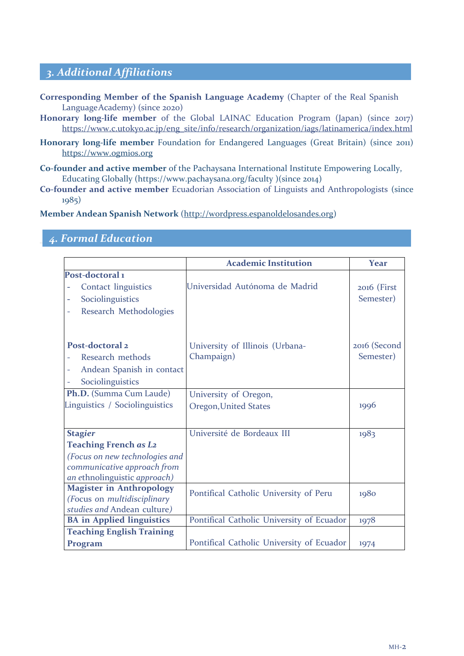# *3. Additional Affiliations*

- **Corresponding Member of the Spanish Language Academy** (Chapter of the Real Spanish Language Academy) (since 2020)
- **Honorary long-life member** of the Global LAINAC Education Program (Japan) (since 2017) https://www.c.utokyo.ac.jp/eng\_site/info/research/organization/iags/latinamerica/index.html
- **Honorary long-life member** Foundation for Endangered Languages (Great Britain) (since 2011) https://www.ogmios.org
- **Co-founder and active member** of the Pachaysana International Institute Empowering Locally, Educating Globally (https://www.pachaysana.org/faculty )(since 2014)
- **Co-founder and active member** Ecuadorian Association of Linguists and Anthropologists (since 1985)

**Member Andean Spanish Network** (http://wordpress.espanoldelosandes.org)

## *4. Formal Education*

|                                             | <b>Academic Institution</b>               | <b>Year</b>  |
|---------------------------------------------|-------------------------------------------|--------------|
| Post-doctoral <sub>1</sub>                  |                                           |              |
| <b>Contact linguistics</b>                  | Universidad Autónoma de Madrid            | 2016 (First  |
| Sociolinguistics<br>-                       |                                           | Semester)    |
| Research Methodologies<br>$\qquad \qquad -$ |                                           |              |
|                                             |                                           |              |
| Post-doctoral 2                             | University of Illinois (Urbana-           | 2016 (Second |
| Research methods                            | Champaign)                                | Semester)    |
| Andean Spanish in contact<br>4              |                                           |              |
| Sociolinguistics                            |                                           |              |
| Ph.D. (Summa Cum Laude)                     | University of Oregon,                     |              |
| Linguistics / Sociolinguistics              | <b>Oregon, United States</b>              | 1996         |
|                                             |                                           |              |
| <b>Stagier</b>                              | Université de Bordeaux III                | 1983         |
| <b>Teaching French as L2</b>                |                                           |              |
| (Focus on new technologies and              |                                           |              |
| communicative approach from                 |                                           |              |
| an ethnolinguistic approach)                |                                           |              |
| <b>Magister in Anthropology</b>             | Pontifical Catholic University of Peru    | 1980         |
| (Focus on multidisciplinary                 |                                           |              |
| studies and Andean culture)                 |                                           |              |
| <b>BA</b> in Applied linguistics            | Pontifical Catholic University of Ecuador | 1978         |
| <b>Teaching English Training</b>            |                                           |              |
| Program                                     | Pontifical Catholic University of Ecuador | 1974         |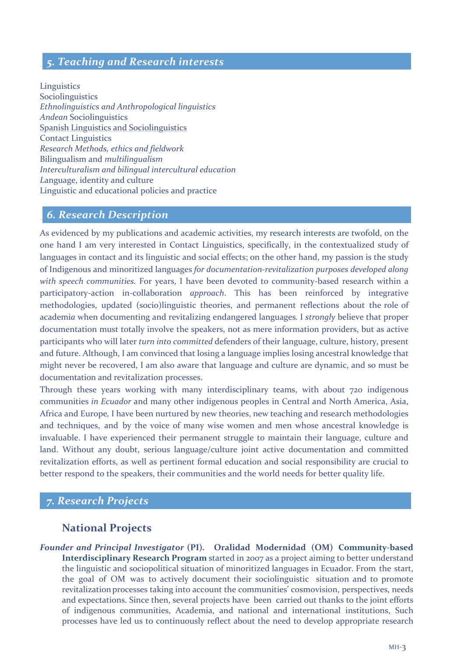## *5. Teaching and Research interests*

Linguistic*s* Sociolinguistics *Ethnolinguistics and Anthropological linguistics Andean* Sociolinguistics Spanish Linguistics and Sociolinguistics Contact Linguistics *Research Methods, ethics and fieldwork* Bilingualism and *multilingualism Interculturalism and bilingual intercultural education L*anguage, identity and culture Linguistic and educational policies and practice

## *6. Research Description*

As evidenced by my publications and academic activities, my research interests are twofold, on the one hand I am very interested in Contact Linguistics, specifically, in the contextualized study of languages in contact and its linguistic and social effects; on the other hand, my passion is the study of Indigenous and minoritized languages *for documentation-revitalization purposes developed along with speech communities.* For years, I have been devoted to community-based research within a participatory-action in*-*collaboration *approach*. This has been reinforced by integrative methodologies, updated (socio)linguistic theories, and permanent reflections about the role of academi*a* when documenting and revitalizing endangered languages*.* I *strongly* believe that proper documentation must totally involve the speakers, not as mere information providers, but as active participants who will later *turn into committed* defenders of their language, culture, history, present and future. Although, I am convinced that losing a language implies losing ancestral knowledge that might never be recovered, I am also aware that language and culture are dynamic, and so must be documentation and revitalization processes.

Through these years working with many interdisciplinary teams, with about 720 indigenous communities *in Ecuador* and many other indigenous peoples in Central and North America, Asia, Africa and Europe*,* I have been nurtured by new theories, new teaching and research methodologies and techniques, and by the voice of many wise women and men whose ancestral knowledge is invaluable. I have experienced their permanent struggle to maintain their language, culture and land. Without any doubt, serious language/culture joint active documentation and committed revitalization efforts, as well as pertinent formal education and social responsibility are crucial to better respond to the speakers, their communities and the world needs for better quality life.

## *7. Research Projects*

## **National Projects**

*Founder and Principal Investigator* **(PI)***.* **Oralidad Modernidad (OM) Community-based Interdisciplinary Research Program** started in 2007 as a project aiming to better understand the linguistic and sociopolitical situation of minoritized languages in Ecuador. From the start, the goal of OM was to actively document their sociolinguistic situation and to promote revitalization processes taking into account the communities' cosmovision, perspectives, needs and expectations. Since then, several projects have been carried out thanks to the joint efforts of indigenous communities, Academia, and national and international institutions, Such processes have led us to continuously reflect about the need to develop appropriate research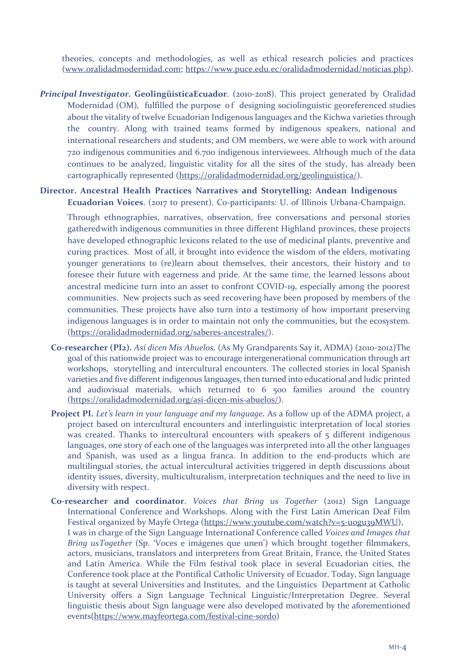theories, concepts and methodologies, as well as ethical research policies and practices (www.oralidadmodernidad.com; https://www.puce.edu.ec/oralidadmodernidad/noticias.php).

*Principal Investigator.* **GeolingüísticaEcuador**. (2010-2018). This project generated by Oralidad Modernidad (OM)*,* fulfilled the purpose of designing sociolinguistic georeferenced studies about the vitality of twelve Ecuadorian Indigenous languages and the Kichwa varieties through the country. Along with trained teams formed by indigenous speakers, national and international researchers and students; and OM members, we were able to work with around 720 indigenous communities and 6.700 indigenous interviewees. Although much of the data continues to be analyzed, linguistic vitality for all the sites of the study, has already been cartographically represented (https://oralidadmodernidad.org/geolinguistica/).

#### **Director. Ancestral Health Practices Narratives and Storytelling: Andean Indigenous Ecuadorian Voices**. (2017 to present). Co-participants: U. of Illinois Urbana-Champaign.

Through ethnographies, narratives, observation, free conversations and personal stories gathered with indigenous communities in three different Highland provinces, these projects have developed ethnographic lexicons related to the use of medicinal plants, preventive and curing practices. Most of all, it brought into evidence the wisdom of the elders, motivating younger generations to (re)learn about themselves, their ancestors, their history and to foresee their future with eagerness and pride. At the same time, the learned lessons about ancestral medicine turn into an asset to confront COVID-19, especially among the poorest communities. New projects such as seed recovering have been proposed by members of the communities. These projects have also turn into a testimony of how important preserving indigenous languages is in order to maintain not only the communities, but the ecosystem. (https://oralidadmodernidad.org/saberes-ancestrales/).

- **Co-researcher (PI2).** *Así dicen Mis Abuelos,* (As My Grandparents Say it, ADMA) (2010-2012)The goal of this nationwide project was to encourage intergenerational communication through art workshops, storytelling and intercultural encounters. The collected stories in local Spanish varieties and five different indigenous languages, then turned into educational and ludic printed and audiovisual materials, which returned to 6 500 families around the country (https://oralidadmodernidad.org/asi-dicen-mis-abuelos/).
- **Project PI.** *Let's learn in your language and my language.* As a follow up of the ADMA project, a project based on intercultural encounters and interlinguistic interpretation of local stories was created. Thanks to intercultural encounters with speakers of 5 different indigenous languages, one story of each one of the languages was interpreted into all the other languages and Spanish, was used as a lingua franca. In addition to the end-products which are multilingual stories, the actual intercultural activities triggered in depth discussions about identity issues, diversity, multiculturalism, interpretation techniques and the need to live in diversity with respect.
- **Co-researcher and coordinator**. *Voices that Bring us Together* (2012) Sign Language International Conference and Workshops. Along with the First Latin American Deaf Film Festival organized by Mayfe Ortega (https://www.youtube.com/watch?v=5-u0gu39MWU), I was in charge of the Sign Language International Conference called *Voices and Images that Bring usTogether* (Sp. 'Voces e imágenes que unen') which brought together filmmakers, actors, musicians, translators and interpreters from Great Britain, France, the United States and Latin America. While the Film festival took place in several Ecuadorian cities, the Conference took place at the Pontifical Catholic University of Ecuador. Today, Sign language is taught at several Universities and Institutes, and the Linguistics Department at Catholic University offers a Sign Language Technical Linguistic/Interpretation Degree. Several linguistic thesis about Sign language were also developed motivated by the aforementioned events(https://www.mayfeortega.com/festival-cine-sordo)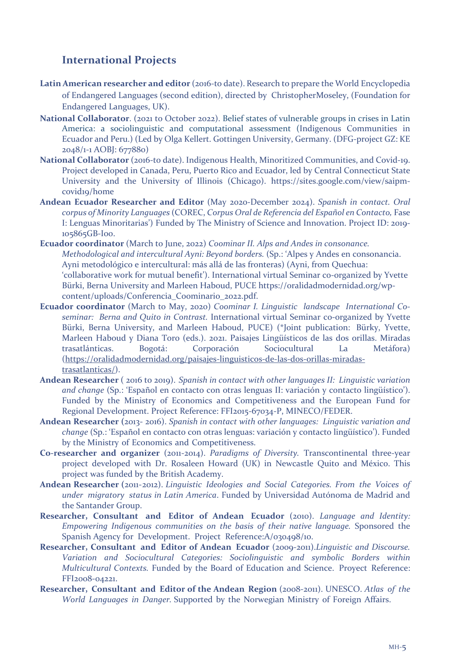# **International Projects**

- Latin American researcher and editor (2016-to date). Research to prepare the World Encyclopedia of Endangered Languages (second edition), directed by ChristopherMoseley, (Foundation for Endangered Languages, UK).
- **National Collaborator**. (2021 to October 2022). Belief states of vulnerable groups in crises in Latin America: a sociolinguistic and computational assessment (Indigenous Communities in Ecuador and Peru.) (Led by Olga Kellert. Gottingen University, Germany. (DFG-project GZ: KE 2048/1-1 AOBJ: 677880)
- **National Collaborator** (2016-to date). Indigenous Health, Minoritized Communities, and Covid-19. Project developed in Canada, Peru, Puerto Rico and Ecuador, led by Central Connecticut State University and the University of Illinois (Chicago). https://sites.google.com/view/saipmcovid19/home
- **Andean Ecuador Researcher and Editor** (May 2020-December 2024). *Spanish in contact. Oral corpus of Minority Languages* (COREC, *Corpus Oral de Referencia del Español en Contacto,* Fase I: Lenguas Minoritarias') Funded by The Ministry of Science and Innovation. Project ID: 2019- 105865GB-I00.
- **Ecuador coordinator** (March to June, 2022) *Coominar II. Alps and Andes in consonance. Methodological and intercultural Ayni: Beyond borders.* (Sp.: 'Alpes y Andes en consonancia. Ayni metodológico e intercultural: más allá de las fronteras) (Ayni, from Quechua: 'collaborative work for mutual benefit'). International virtual Seminar co-organized by Yvette Bürki, Berna University and Marleen Haboud, PUCE https://oralidadmodernidad.org/wpcontent/uploads/Conferencia\_Coominario\_2022.pdf.
- **Ecuador coordinator** (March to May, 2020) *Coominar I. Linguistic landscape International Coseminar: Berna and Quito in Contrast.* International virtual Seminar co-organized by Yvette Bürki, Berna University, and Marleen Haboud, PUCE) (\*Joint publication: Bürky, Yvette, Marleen Haboud y Diana Toro (eds.). 2021. Paisajes Lingüísticos de las dos orillas. Miradas trasatlánticas. Bogotá: Corporación Sociocultural La Metáfora) (https://oralidadmodernidad.org/paisajes-linguisticos-de-las-dos-orillas-miradastrasatlanticas/).
- **Andean Researcher** ( 2016 to 2019). *Spanish in contact with other languages II: Linguistic variation and change* (Sp.: 'Español en contacto con otras lenguas II: variación y contacto lingüístico'). Funded by the Ministry of Economics and Competitiveness and the European Fund for Regional Development. Project Reference: FFI2015-67034-P, MINECO/FEDER.
- **Andean Researcher (**2013- 2016). *Spanish in contact with other languages: Linguistic variation and change* (Sp.: 'Español en contacto con otras lenguas: variación y contacto lingüístico'). Funded by the Ministry of Economics and Competitiveness.
- **Co-researcher and organizer** (2011-2014). *Paradigms of Diversity.* Transcontinental three-year project developed with Dr. Rosaleen Howard (UK) in Newcastle Quito and México. This project was funded by the British Academy.
- **Andean Researcher (**2011-2012). *Linguistic Ideologies and Social Categories. From the Voices of under migratory status in Latin America*. Funded by Universidad Autónoma de Madrid and the Santander Group.
- **Researcher, Consultant and Editor of Andean Ecuador** (2010). *Language and Identity: Empowering Indigenous communities on the basis of their native language.* Sponsored the Spanish Agency for Development. Project Reference:A/030498/10.
- **Researcher, Consultant and Editor of Andean Ecuador** (2009-2011).*Linguistic and Discourse. Variation and Sociocultural Categories: Sociolinguistic and symbolic Borders within Multicultural Contexts.* Funded by the Board of Education and Science. Proyect Reference: FFI2008-04221.
- **Researcher, Consultant and Editor of the Andean Region** (2008-2011). UNESCO. *Atlas of the World Languages in Danger.* Supported by the Norwegian Ministry of Foreign Affairs.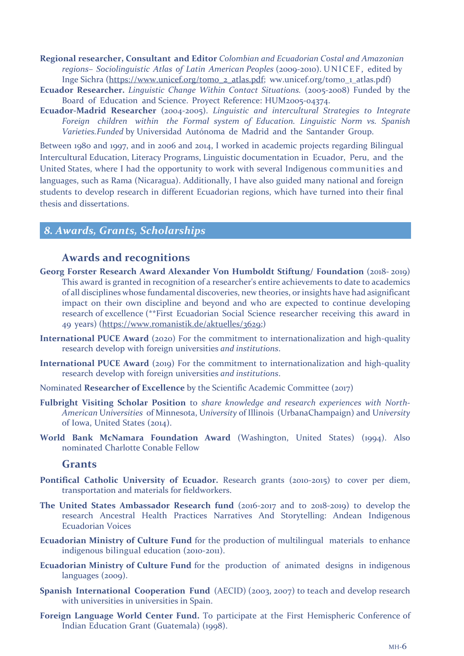**Regional researcher, Consultant and Editor** *Colombian and Ecuadorian Costal and Amazonian regions– Sociolinguistic Atlas of Latin American Peoples* (2009-2010). UNICEF, edited by Inge Sichra (https://www.unicef.org/tomo\_2\_atlas.pdf; ww.unicef.org/tomo\_1\_atlas.pdf)

- **Ecuador Researcher.** *Linguistic Change Within Contact Situations.* (2005-2008) Funded by the Board of Education and Science. Proyect Reference: HUM2005-04374.
- **Ecuador-Madrid Researcher** (2004-2005). *Linguistic and intercultural Strategies to Integrate Foreign children within the Formal system of Education. Linguistic Norm vs. Spanish Varieties.Funded* by Universidad Autónoma de Madrid and the Santander Group.

Between 1980 and 1997, and in 2006 and 2014, I worked in academic projects regarding Bilingual Intercultural Education, Literacy Programs, Linguistic documentation in Ecuador, Peru, and the United States, where I had the opportunity to work with several Indigenous communities and languages, such as Rama (Nicaragua). Additionally, I have also guided many national and foreign students to develop research in different Ecuadorian regions, which have turned into their final thesis and dissertations.

## *8. Awards, Grants, Scholarships*

#### **Awards and recognitions**

- **Georg Forster Research Award Alexander Von Humboldt Stiftung/ Foundation** (2018- 2019) This award is granted in recognition of a researcher's entire achievements to date to academics of all disciplines whose fundamental discoveries, new theories, or insights have had asignificant impact on their own discipline and beyond and who are expected to continue developing research of excellence (\*\*First Ecuadorian Social Science researcher receiving this award in 49 years) (https://www.romanistik.de/aktuelles/3629;)
- **International PUCE Award** (2020) For the commitment to internationalization and high-quality research develop with foreign universities *and institutions*.
- **International PUCE Award** (2019) For the commitment to internationalization and high-quality research develop with foreign universities *and institutions*.
- Nominated **Researcher of Excellence** by the Scientific Academic Committee (2017)
- **Fulbright Visiting Scholar Position** to *share knowledge and research experiences with North-American* U*niversities* of Minnesota, U*niversity* of Illinois (UrbanaChampaign) and U*niversity*  of Iowa, United States (2014).
- **World Bank McNamara Foundation Award** (Washington, United States) (1994). Also nominated Charlotte Conable Fellow

#### **Grants**

- **Pontifical Catholic University of Ecuador.** Research grants (2010-2015) to cover per diem, transportation and materials for fieldworkers.
- **The United States Ambassador Research fund** (2016-2017 and to 2018-2019) to develop the research Ancestral Health Practices Narratives And Storytelling: Andean Indigenous Ecuadorian Voices
- **Ecuadorian Ministry of Culture Fund** for the production of multilingual materials to enhance indigenous bilingual education (2010-2011).
- **Ecuadorian Ministry of Culture Fund** for the production of animated designs in indigenous languages (2009).
- **Spanish International Cooperation Fund** (AECID) (2003, 2007) to teach and develop research with universities in universities in Spain.
- **Foreign Language World Center Fund.** To participate at the First Hemispheric Conference of Indian Education Grant (Guatemala) (1998).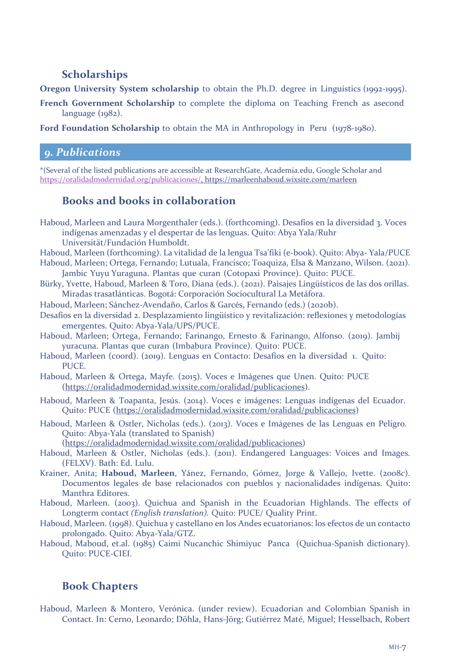# **Scholarships**

**Oregon University System scholarship** to obtain the Ph.D. degree in Linguistics (1992-1995).

**French Government Scholarship** to complete the diploma on Teaching French as asecond language (1982).

**Ford Foundation Scholarship** to obtain the MA in Anthropology in Peru (1978-1980).

## *9. Publications*

\*(Several of the listed publications are accessible at ResearchGate, Academia.edu, Google Scholar and https://oralidadmodernidad.org/publicaciones/, https://marleenhaboud.wixsite.com/marleen

# **Books and books in collaboration**

- Haboud, Marleen and Laura Morgenthaler (eds.). (forthcoming). Desafíos en la diversidad 3. Voces indígenas amenzadas y el despertar de las lenguas. Quito: Abya Yala/Ruhr Universität/Fundación Humboldt.
- Haboud, Marleen (forthcoming). La vitalidad de la lengua Tsa'fiki (e-book). Quito: Abya- Yala/PUCE Haboud, Marleen; Ortega, Fernando; Lutuala, Francisco; Toaquiza, Elsa & Manzano, Wilson. (2021). Jambic Yuyu Yuraguna. Plantas que curan (Cotopaxi Province). Quito: PUCE.
- Bürky, Yvette, Haboud, Marleen & Toro, Diana (eds.). (2021). Paisajes Lingüísticos de las dos orillas. Miradas trasatlánticas. Bogotá: Corporación Sociocultural La Metáfora.
- Haboud, Marleen; Sánchez-Avendaño, Carlos & Garcés, Fernando (eds.) (2020b).
- Desafíos en la diversidad 2. Desplazamiento lingüístico y revitalización: reflexiones y metodologías emergentes. Quito: Abya-Yala/UPS/PUCE.
- Haboud, Marleen; Ortega, Fernando; Farinango, Ernesto & Farinango, Alfonso. (2019). Jambij yuracuna. Plantas que curan (Imbabura Province). Quito: PUCE.
- Haboud, Marleen (coord). (2019). Lenguas en Contacto: Desafíos en la diversidad 1. Quito: **PUCE**
- Haboud, Marleen & Ortega, Mayfe. (2015). Voces e Imágenes que Unen. Quito: PUCE (https://oralidadmodernidad.wixsite.com/oralidad/publicaciones).
- Haboud, Marleen & Toapanta, Jesús. (2014). Voces e imágenes: Lenguas indígenas del Ecuador. Quito: PUCE (https://oralidadmodernidad.wixsite.com/oralidad/publicaciones)
- Haboud, Marleen & Ostler, Nicholas (eds.). (2013). Voces e Imágenes de las Lenguas en Peligro. Quito: Abya-Yala (translated to Spanish)

(https://oralidadmodernidad.wixsite.com/oralidad/publicaciones)

- Haboud, Marleen & Ostler, Nicholas (eds.). (2011). Endangered Languages: Voices and Images. (FELXV). Bath: Ed. Lulu.
- Krainer, Anita; **Haboud, Marleen**, Yánez, Fernando, Gómez, Jorge & Vallejo, Ivette. (2008*c*). Documentos legales de base relacionados con pueblos y nacionalidades indígenas. Quito: Manthra Editores.
- Haboud, Marleen. (2003). Quichua and Spanish in the Ecuadorian Highlands. The effects of Longterm contact *(English translation).* Quito: PUCE/ Quality Print.
- Haboud, Marleen. (1998). Quichua y castellano en los Andes ecuatorianos: los efectos de un contacto prolongado. Quito: Abya-Yala/GTZ.
- Haboud, Maboud, et.al. (1985) Caimi Nucanchic Shimiyuc Panca (Quichua-Spanish dictionary). Quito: PUCE-CIEI.

# **Book Chapters**

Haboud, Marleen & Montero, Verónica. (under review). Ecuadorian and Colombian Spanish in Contact. In: Cerno, Leonardo; Döhla, Hans-Jörg; Gutiérrez Maté, Miguel; Hesselbach, Robert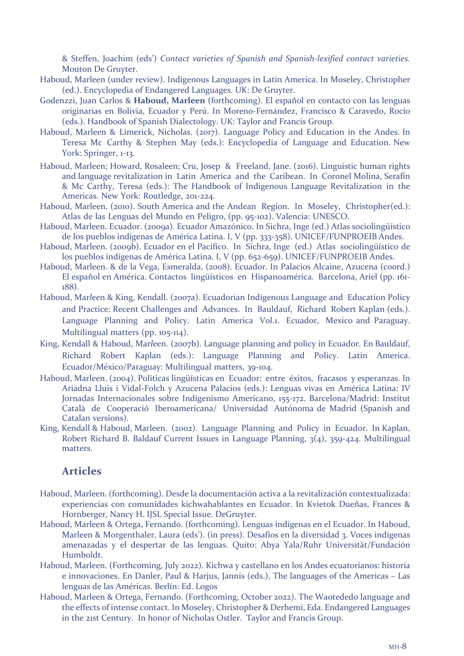& Steffen, Joachim (eds') *Contact varieties of Spanish and Spanish-lexified contact varieties.*  Mouton De Gruyter.

- Haboud, Marleen (under review). Indigenous Languages in Latin America. In Moseley, Christopher (ed.). Encyclopedia of Endangered Languages. UK: De Gruyter.
- Godenzzi, Juan Carlos & **Haboud, Marleen** (forthcoming). El español en contacto con las lenguas originarias en Bolivia, Ecuador y Perú. In Moreno-Fernández, Francisco & Caravedo, Rocío (eds.). Handbook of Spanish Dialectology. UK: Taylor and Francis Group.
- Haboud, Marleen & Limerick, Nicholas. (2017). Language Policy and Education in the Andes. In Teresa Mc Carthy & Stephen May (eds.): Encyclopedia of Language and Education. New York: Springer, 1-13*.*
- Haboud, Marleen; Howard, Rosaleen; Cru, Josep & Freeland, Jane. (2016). Linguistic human rights and language revitalization in Latin America and the Caribean. In Coronel Molina, Serafín & Mc Carthy, Teresa (eds.): The Handbook of Indigenous Language Revitalization in the Americas. New York: Routledge, 201-224.
- Haboud, Marleen. (2010). South America and the Andean Region. In Moseley, Christopher(ed.): Atlas de las Lenguas del Mundo en Peligro, (pp. 95-102). Valencia: UNESCO.
- Haboud, Marleen. Ecuador. (2009a). Ecuador Amazónico. In Sichra, Inge (ed.) Atlas sociolingüístico de los pueblos indígenas de América Latina. I, V (pp. 333-358). UNICEF/FUNPROEIB Andes.
- Haboud, Marleen. (2009b). Ecuador en el Pacífico. In Sichra, Inge (ed.) Atlas sociolingüístico de los pueblos indígenas de América Latina. I, V (pp. 652-659). UNICEF/FUNPROEIB Andes.
- Haboud, Marleen. & de la Vega, Esmeralda. (2008). Ecuador. In Palacios Alcaine, Azucena (coord.) El español en América. Contactos lingüísticos en Hispanoamérica. Barcelona, Ariel (pp. 161- 188).
- Haboud, Mar*l*een & King, Kendall. (2007a). Ecuadorian Indigenous Language and Education Policy and Practice: Recent Challenges and Advances. In Bauldauf, Richard Robert Kaplan (eds.). Language Planning and Policy. Latin America Vol.1. Ecuador, Mexico and Paraguay. Multilingual matters (pp. 105-114).
- King, Kendall & Haboud, Mar*l*een. (2007b). Language planning and policy in Ecuador. En Bauldauf, Richard Robert Kaplan (eds.): Language Planning and Policy. Latin America. Ecuador/México/Paraguay: Multilingual matters, 39-104.
- Haboud, Marleen. (2004). Políticas lingüísticas en Ecuador: entre éxitos, fracasos y esperanzas. In Ariadna Lluis i Vidal-Folch y Azucena Palacios (eds.): Lenguas vivas en América Latina: IV Jornadas Internacionales sobre Indigenismo Americano, 155-172. Barcelona/Madrid: Institut Català de Cooperació Iberoamericana/ Universidad Autónoma de Madrid (Spanish and Catalan versions).
- King, Kendall & Haboud, Marleen. (2002). Language Planning and Policy in Ecuador. In Kaplan, Robert Richard B. Baldauf Current Issues in Language Planning, 3(4), 359-424. Multilingual matters.

# **Articles**

- Haboud, Marleen. (forthcoming). Desde la documentación activa a la revitalización contextualizada: experiencias con comunidades kichwahablantes en Ecuador. In Kvietok Dueñas, Frances & Hornberger, Nancy H. IJSL Special Issue. DeGruyter.
- Haboud, Marleen & Ortega, Fernando. (forthcoming). Lenguas indígenas en el Ecuador. In Haboud, Marleen & Morgenthaler, Laura (eds'). (in press). Desafíos en la diversidad 3. Voces indígenas amenazadas y el despertar de las lenguas. Quito: Abya Yala/Ruhr Universität/Fundación Humboldt.
- Haboud, Marleen. (Forthcoming, July 2022). Kichwa y castellano en los Andes ecuatorianos: historia e innovaciones. En Danler, Paul & Harjus, Jannis (eds.), The languages of the Americas – Las lenguas de las Américas. Berlín: Ed. Logos
- Haboud, Marleen & Ortega, Fernando. (Forthcoming, October 2022). The Waotededo language and the effects of intense contact. In Moseley, Christopher & Derhemi, Eda. Endangered Languages in the 21st Century. In honor of Nicholas Ostler. Taylor and Francis Group.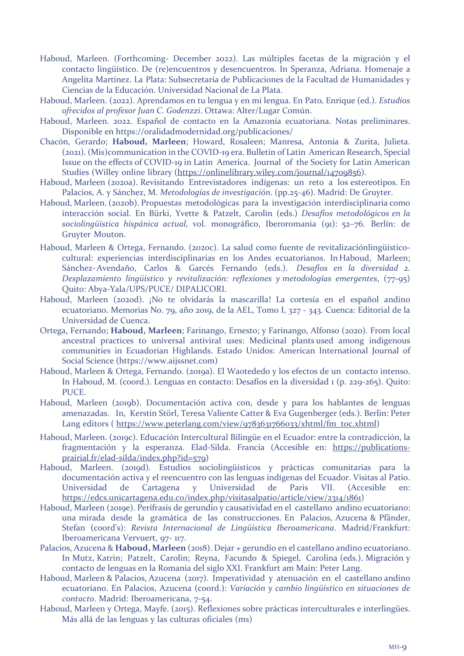- Haboud, Marleen. (Forthcoming- December 2022). Las múltiples facetas de la migración y el contacto lingüístico. De (re)encuentros y desencuentros. In Speranza, Adriana. Homenaje a Angelita Martínez. La Plata: Subsecretaría de Publicaciones de la Facultad de Humanidades y Ciencias de la Educación. Universidad Nacional de La Plata.
- Haboud, Marleen. (2022). Aprendamos en tu lengua y en mi lengua. En Pato*,* Enrique (ed.). *Estudios ofrecidos al profesor Juan C. Godenzzi*. Ottawa: Alter/Lugar Común.
- Haboud, Marleen. 2022. Español de contacto en la Amazonía ecuatoriana. Notas preliminares. Disponible en https://oralidadmodernidad.org/publicaciones/
- Chacón, Gerardo; **Haboud, Marleen**; Howard, Rosaleen; Manresa, Antonia & Zurita, Julieta. (2021). (Mis)communication in the COVID-19 era. Bulletin of Latin American Research, Special Issue on the effects of COVID-19 in Latin America. Journal of the Society for Latin American Studies (Willey online library (https://onlinelibrary.wiley.com/journal/14709856).
- Haboud, Marleen (2020a). Revisitando Entrevistadores indígenas: un reto a los estereotipos. En Palacios, A. y Sánchez, M. *Metodologías de investigación*. (pp.25-46). Madrid: De Gruyter.
- Haboud, Marleen. (2020b). Propuestas metodológicas para la investigación interdisciplinaria como interacción social. En Bürki, Yvette & Patzelt, Carolin (eds.) *Desafíos metodológicos en la sociolingüística hispánica actual,* vol. monográfico, Iberoromania (91): 52–76. Berlín: de Gruyter Mouton.
- Haboud, Marleen & Ortega, Fernando. (2020c). La salud como fuente de revitalizaciónlingüísticocultural: experiencias interdisciplinarias en los Andes ecuatorianos. InHaboud, Marleen; Sánchez-Avendaño, Carlos & Garcés Fernando (eds.). *Desafíos en la diversidad 2. Desplazamiento lingüístico y revitalización: reflexiones y metodologías emergentes*, (77-95) Quito: Abya-Yala/UPS/PUCE/ DIPALICORI.
- Haboud, Marleen (2020d). ¡No te olvidarás la mascarilla! La cortesía en el español andino ecuatoriano. Memorias No. 79, año 2019, de la AEL, Tomo I, 327 - 343. Cuenca: Editorial de la Universidad de Cuenca.
- Ortega, Fernando; **Haboud, Marleen**; Farinango, Ernesto; y Farinango, Alfonso (2020). From local ancestral practices to universal antiviral uses: Medicinal plants used among indigenous communities in Ecuadorian Highlands. Estado Unidos: American International Journal of Social Science (https://www.aijssnet.com)
- Haboud, Marleen & Ortega, Fernando. (2019a). El Waotededo y los efectos de un contacto intenso. In Haboud, M. (coord.). Lenguas en contacto: Desafíos en la diversidad 1 (p. 229-265). Quito: PUCE.
- Haboud, Marleen (2019b). Documentación activa con, desde y para los hablantes de lenguas amenazadas. In, Kerstin Störl, Teresa Valiente Catter & Eva Gugenberger (eds.). Berlin: Peter Lang editors ( https://www.peterlang.com/view/9783631766033/xhtml/fm\_toc.xhtml)
- Haboud, Marleen. (2019c). Educación Intercultural Bilingüe en el Ecuador: entre la contradicción, la fragmentación y la esperanza. Elad-Silda. Francia (Accesible en: https://publicationsprairial.fr/elad-silda/index.php?id=579)
- Haboud, Marleen. (2019d). Estudios sociolingüísticos y prácticas comunitarias para la documentación activa y el reencuentro con las lenguas indígenas del Ecuador. Visitas al Patio. Universidad de Cartagena y Universidad de Paris VII. (Accesible en: https://edcs.unicartagena.edu.co/index.php/visitasalpatio/article/view/2314/1861)
- Haboud, Marleen (2019e). Perífrasis de gerundio y causatividad en el castellano andino ecuatoriano: una mirada desde la gramática de las construcciones. En Palacios, Azucena & Pfänder, Stefan (coord's): *Revista Internacional de Lingüística Iberoamericana*. Madrid/Frankfurt: Iberoamericana Vervuert, 97- 117.
- Palacios, Azucena & **Haboud, Marleen** (2018). Dejar + gerundio en el castellano andino ecuatoriano. In Mutz, Katrin; Patzelt, Carolin; Reyna, Facundo & Spiegel, Carolina (eds.). Migración y contacto de lenguas en la Romania del siglo XXI. Frankfurt am Main: Peter Lang.
- Haboud, Marleen & Palacios, Azucena (2017). Imperatividad y atenuación en el castellano andino ecuatoriano. En Palacios, Azucena (coord.): *Variación y cambio lingüístico en situaciones de contacto*. Madrid: Iberoamericana, 7-54.
- Haboud, Marleen y Ortega, Mayfe. (2015). Reflexiones sobre prácticas interculturales e interlingües. Más allá de las lenguas y las culturas oficiales (ms)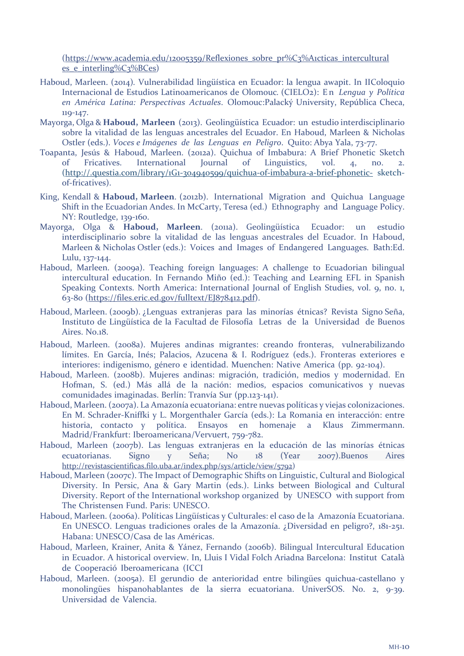(https://www.academia.edu/12005359/Reflexiones\_sobre\_pr%C3%A1cticas\_intercultural es e interling%C3%BCes)

- Haboud, Marleen. (2014)*.* Vulnerabilidad lingüística en Ecuador: la lengua awapit. In IIColoquio Internacional de Estudios Latinoamericanos de Olomouc*.* (CIELO2): E n *Lengua y Política en América Latina: Perspectivas Actuales*. Olomouc:Palacký University, República Checa, 119-147.
- Mayorga, Olga & **Haboud, Marleen** (2013). Geolingüística Ecuador: un estudio interdisciplinario sobre la vitalidad de las lenguas ancestrales del Ecuador. En Haboud, Marleen & Nicholas Ostler (eds.). *Voces e Imágenes de las Lenguas en Peligro*. Quito: Abya Yala, 73-77.
- Toapanta, Jesús & Haboud, Marleen. (2012a). Quichua of Imbabura: A Brief Phonetic Sketch of Fricatives. International Journal of Linguistics, vol. 4, no. 2. (http://.questia.com/library/1G1-304940599/quichua-of-imbabura-a-brief-phonetic- sketchof-fricatives).
- King, Kendall & **Haboud, Marleen**. (2012b). International Migration and Quichua Language Shift in the Ecuadorian Andes. In McCarty, Teresa (ed.) Ethnography and Language Policy. NY: Routledge, 139-160.
- Mayorga, Olga & **Haboud, Marleen**. (2011a). Geolingüística Ecuador: un estudio interdisciplinario sobre la vitalidad de las lenguas ancestrales del Ecuador. In Haboud, Marleen & Nicholas Ostler (eds.): Voices and Images of Endangered Languages. Bath:Ed. Lulu, 137-144.
- Haboud, Marleen. (2009a). Teaching foreign languages: A challenge to Ecuadorian bilingual intercultural education. In Fernando Miño (ed.): Teaching and Learning EFL in Spanish Speaking Contexts. North America: International Journal of English Studies, vol. 9, no. 1, 63-80 (https://files.eric.ed.gov/fulltext/EJ878412.pdf).
- Haboud, Marleen. (2009b). ¿Lenguas extranjeras para las minorías étnicas? Revista Signo Seña, Instituto de Lingüística de la Facultad de Filosofía Letras de la Universidad de Buenos Aires. No.18.
- Haboud, Marleen. (2008a). Mujeres andinas migrantes: creando fronteras, vulnerabilizando límites. En García, Inés; Palacios, Azucena & I. Rodríguez (eds.). Fronteras exteriores e interiores: indigenismo, género e identidad. Muenchen: Native America (pp. 92-104).
- Haboud, Marleen. (2008b). Mujeres andinas: migración, tradición, medios y modernidad. En Hofman, S. (ed.) Más allá de la nación: medios, espacios comunicativos y nuevas comunidades imaginadas. Berlín: Tranvía Sur (pp.123-141).
- Haboud, Marleen. (2007a). La Amazonía ecuatoriana: entre nuevas políticas y viejas colonizaciones. En M. Schrader-Kniffki y L. Morgenthaler García (eds.): La Romania en interacción: entre historia, contacto y política. Ensayos en homenaje a Klaus Zimmermann. Madrid/Frankfurt: Iberoamericana/Vervuert, 759-782.
- Haboud, Marleen (2007b). Las lenguas extranjeras en la educación de las minorías étnicas ecuatorianas. Signo y Seña; No 18 (Year 2007).Buenos Aires http://revistascientificas.filo.uba.ar/index.php/sys/article/view/5792)
- Haboud, Marleen (2007c). The Impact of Demographic Shifts on Linguistic, Cultural and Biological Diversity. In Persic, Ana & Gary Martin (eds.). Links between Biological and Cultural Diversity. Report of the International workshop organized by UNESCO with support from The Christensen Fund. Paris: UNESCO.
- Haboud, Marleen. (2006a). Políticas Lingüísticas y Culturales: el caso de la Amazonía Ecuatoriana. En UNESCO. Lenguas tradiciones orales de la Amazonía. ¿Diversidad en peligro?, 181-251. Habana: UNESCO/Casa de las Américas.
- Haboud, Marleen, Krainer, Anita & Yánez, Fernando (2006b). Bilingual Intercultural Education in Ecuador. A historical overview. In, Lluis I Vidal Folch Ariadna Barcelona: Institut Català de Cooperació Iberoamericana (ICCI
- Haboud, Marleen. (2005a). El gerundio de anterioridad entre bilingües quichua-castellano y monolingües hispanohablantes de la sierra ecuatoriana. UniverSOS. No. 2, 9-39. Universidad de Valencia.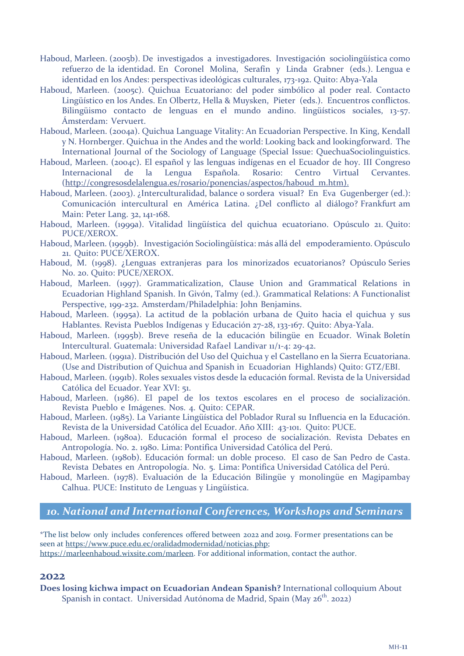- Haboud, Marleen. (2005b). De investigados a investigadores. Investigación sociolingüística como refuerzo de la identidad. En Coronel Molina, Serafín y Linda Grabner (eds.). Lengua e identidad en los Andes: perspectivas ideológicas culturales, 173-192. Quito: Abya-Yala
- Haboud, Marleen. (2005c). Quichua Ecuatoriano: del poder simbólico al poder real. Contacto Lingüístico en los Andes. En Olbertz, Hella & Muysken, Pieter (eds.). Encuentros conflictos. Bilingüismo contacto de lenguas en el mundo andino. lingüísticos sociales, 13-57. Ámsterdam: Vervuert.
- Haboud, Marleen. (2004a). Quichua Language Vitality: An Ecuadorian Perspective. In King, Kendall y N. Hornberger. Quichua in the Andes and the world: Looking back and lookingforward. The International Journal of the Sociology of Language (Special Issue: QuechuaSociolinguistics.
- Haboud, Marleen. (2004c). El español y las lenguas indígenas en el Ecuador de hoy. III Congreso Internacional de la Lengua Española. Rosario: Centro Virtual Cervantes. (http://congresosdelalengua.es/rosario/ponencias/aspectos/haboud\_m.htm).
- Haboud, Marleen. (2003). ¿Interculturalidad, balance o sordera visual? En Eva Gugenberger (ed.): Comunicación intercultural en América Latina. ¿Del conflicto al diálogo? Frankfurt am Main: Peter Lang. 32, 141-168.
- Haboud, Marleen. (1999a). Vitalidad lingüística del quichua ecuatoriano. Opúsculo 21. Quito: PUCE/XEROX.
- Haboud, Marleen. (1999b). Investigación Sociolingüística: más allá del empoderamiento. Opúsculo 21. Quito: PUCE/XEROX.
- Haboud, M. (1998). ¿Lenguas extranjeras para los minorizados ecuatorianos? Opúsculo Series No. 20. Quito: PUCE/XEROX.
- Haboud, Marleen. (1997). Grammaticalization, Clause Union and Grammatical Relations in Ecuadorian Highland Spanish. In Givón, Talmy (ed.). Grammatical Relations: A Functionalist Perspective, 199-232. Amsterdam/Philadelphia: John Benjamins.
- Haboud, Marleen. (1995a). La actitud de la población urbana de Quito hacia el quichua y sus Hablantes. Revista Pueblos Indígenas y Educación 27-28, 133-167. Quito: Abya-Yala.
- Haboud, Marleen. (1995b). Breve reseña de la educación bilingüe en Ecuador. Winak Boletín Intercultural. Guatemala: Universidad Rafael Landivar 11/1-4: 29-42.
- Haboud, Marleen. (1991a). Distribución del Uso del Quichua y el Castellano en la Sierra Ecuatoriana. (Use and Distribution of Quichua and Spanish in Ecuadorian Highlands) Quito: GTZ/EBI.
- Haboud, Marleen. (1991b). Roles sexuales vistos desde la educación formal. Revista de la Universidad Católica del Ecuador. Year XVI: 51.
- Haboud, Marleen. (1986). El papel de los textos escolares en el proceso de socialización. Revista Pueblo e Imágenes. Nos. 4. Quito: CEPAR.
- Haboud, Marleen. (1985). La Variante Lingüística del Poblador Rural su Influencia en la Educación. Revista de la Universidad Católica del Ecuador. Año XIII: 43-101. Quito: PUCE.
- Haboud, Marleen. (1980a). Educación formal el proceso de socialización. Revista Debates en Antropología. No. 2. 1980. Lima: Pontifica Universidad Católica del Perú.
- Haboud, Marleen. (1980b). Educación formal: un doble proceso. El caso de San Pedro de Casta. Revista Debates en Antropología. No. 5. Lima: Pontifica Universidad Católica del Perú.
- Haboud, Marleen. (1978). Evaluación de la Educación Bilingüe y monolingüe en Magipambay Calhua. PUCE: Instituto de Lenguas y Lingüística.

## *10. National and International Conferences, Workshops and Seminars*

\*The list below only includes conferences offered between 2022 and 2019. Former presentations can be seen at https://www.puce.edu.ec/oralidadmodernidad/noticias.php;

#### https://marleenhaboud.wixsite.com/marleen. For additional information, contact the author.

#### **2022**

**Does losing kichwa impact on Ecuadorian Andean Spanish?** International colloquium About Spanish in contact. Universidad Autónoma de Madrid, Spain (May 26<sup>th</sup>. 2022)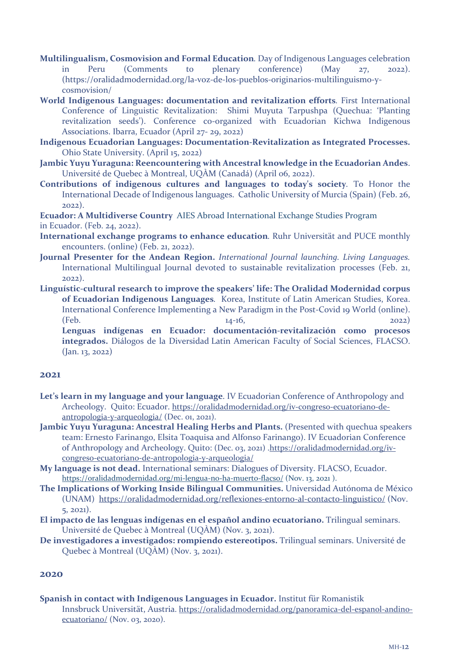- **Multilingualism, Cosmovision and Formal Education***.* Day of Indigenous Languages celebration in Peru (Comments to plenary conference) (May 27, 2022). (https://oralidadmodernidad.org/la-voz-de-los-pueblos-originarios-multilinguismo-ycosmovision/
- **World Indigenous Languages: documentation and revitalization efforts***.* First International Conference of Linguistic Revitalization: Shimi Muyuta Tarpushpa (Quechua: 'Planting revitalization seeds'). Conference co-organized with Ecuadorian Kichwa Indigenous Associations. Ibarra, Ecuador (April 27- 29, 2022)
- **Indigenous Ecuadorian Languages: Documentation-Revitalization as Integrated Processes.** Ohio State University. (April 15, 2022)
- **Jambic Yuyu Yuraguna: Reencountering with Ancestral knowledge in the Ecuadorian Andes**. Université de Quebec à Montreal, UQÀM (Canadá) (April 06, 2022).
- **Contributions of indigenous cultures and languages to today's society***.* To Honor the International Decade of Indigenous languages. Catholic University of Murcia (Spain) (Feb. 26, 2022).

**Ecuador: A Multidiverse Country** AIES Abroad International Exchange Studies Program in Ecuador. (Feb. 24, 2022).

- **International exchange programs to enhance education***.* Ruhr Universität and PUCE monthly encounters. (online) (Feb. 21, 2022).
- **Journal Presenter for the Andean Region.** *International Journal launching. Living Languages.* International Multilingual Journal devoted to sustainable revitalization processes (Feb. 21, 2022).
- **Linguístic-cultural research to improve the speakers' life: The Oralidad Modernidad corpus of Ecuadorian Indigenous Languages***.* Korea, Institute of Latin American Studies, Korea. International Conference Implementing a New Paradigm in the Post-Covid 19 World (online). (Feb. 14-16, 2022) **Lenguas indígenas en Ecuador: documentación-revitalización como procesos**

**integrados.** Diálogos de la Diversidad Latin American Faculty of Social Sciences, FLACSO. (Jan. 13, 2022)

#### **2021**

- **Let's learn in my language and your language**. IV Ecuadorian Conference of Anthropology and Archeology. Quito: Ecuador. https://oralidadmodernidad.org/iv-congreso-ecuatoriano-deantropologia-y-arqueologia/ (Dec. 01, 2021).
- **Jambic Yuyu Yuraguna: Ancestral Healing Herbs and Plants.** (Presented with quechua speakers team: Ernesto Farinango, Elsita Toaquisa and Alfonso Farinango). IV Ecuadorian Conference of Anthropology and Archeology. Quito: (Dec. 03, 2021) .https://oralidadmodernidad.org/ivcongreso-ecuatoriano-de-antropologia-y-arqueologia/
- **My language is not dead.** International seminars: Dialogues of Diversity. FLACSO, Ecuador. https://oralidadmodernidad.org/mi-lengua-no-ha-muerto-flacso/ (Nov. 13, 2021 ).
- **The Implications of Working Inside Bilingual Communities.** Universidad Autónoma de México (UNAM) https://oralidadmodernidad.org/reflexiones-entorno-al-contacto-linguistico/ (Nov. 5, 2021).
- **El impacto de las lenguas indígenas en el español andino ecuatoriano.** Trilingual seminars. Université de Quebec à Montreal (UQÀM) (Nov. 3, 2021).
- **De investigadores a investigados: rompiendo estereotipos.** Trilingual seminars. Université de Quebec à Montreal (UQÀM) (Nov. 3, 2021).

#### **2020**

**Spanish in contact with Indigenous Languages in Ecuador.** Institut für Romanistik Innsbruck Universität, Austria. https://oralidadmodernidad.org/panoramica-del-espanol-andinoecuatoriano/ (Nov. 03, 2020).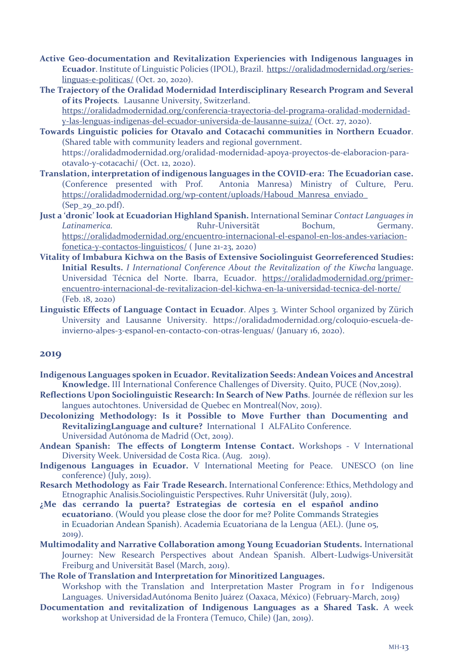- **Active Geo-documentation and Revitalization Experiencies with Indigenous languages in Ecuador**. Institute of Linguistic Policies (IPOL), Brazil. https://oralidadmodernidad.org/serieslinguas-e-politicas/ (Oct. 20, 2020).
- **The Trajectory of the Oralidad Modernidad Interdisciplinary Research Program and Several of its Projects***.* Lausanne University, Switzerland. https://oralidadmodernidad.org/conferencia-trayectoria-del-programa-oralidad-modernidady-las-lenguas-indigenas-del-ecuador-universida-de-lausanne-suiza/ (Oct. 27, 2020).
- **Towards Linguistic policies for Otavalo and Cotacachi communities in Northern Ecuador**. (Shared table with community leaders and regional government. https://oralidadmodernidad.org/oralidad-modernidad-apoya-proyectos-de-elaboracion-paraotavalo-y-cotacachi/ (Oct. 12, 2020).
- **Translation, interpretation of indigenous languages in the COVID-era: The Ecuadorian case.** (Conference presented with Prof. Antonia Manresa) Ministry of Culture, Peru. https://oralidadmodernidad.org/wp-content/uploads/Haboud\_Manresa\_enviado\_ (Sep\_29\_20.pdf).
- **Just a 'dronic' look at Ecuadorian Highland Spanish.** International Seminar *Contact Languages in Latinamerica.* Ruhr-Universität Bochum, Germany. https://oralidadmodernidad.org/encuentro-internacional-el-espanol-en-los-andes-variacionfonetica-y-contactos-linguisticos/ ( June 21-23, 2020)
- **Vitality of Imbabura Kichwa on the Basis of Extensive Sociolinguist Georreferenced Studies: Initial Results.** *I International Conference About the Revitalization of the Kiwcha* language. Universidad Técnica del Norte. Ibarra, Ecuador. https://oralidadmodernidad.org/primerencuentro-internacional-de-revitalizacion-del-kichwa-en-la-universidad-tecnica-del-norte/ (Feb. 18, 2020)
- **Linguistic Effects of Language Contact in Ecuador**. Alpes 3. Winter School organized by Zürich University and Lausanne University. https://oralidadmodernidad.org/coloquio-escuela-deinvierno-alpes-3-espanol-en-contacto-con-otras-lenguas/ (January 16, 2020).

#### **2019**

- **Indigenous Languages spoken in Ecuador. Revitalization Seeds: Andean Voices and Ancestral Knowledge.** III International Conference Challenges of Diversity. Quito, PUCE (Nov,2019).
- **Reflections Upon Sociolinguistic Research: In Search of New Paths**. Journée de réflexion sur les langues autochtones. Universidad de Quebec en Montreal(Nov, 2019).
- **Decolonizing Methodology: Is it Possible to Move Further than Documenting and RevitalizingLanguage and culture?** International I ALFALito Conference. Universidad Autónoma de Madrid (Oct, 2019).
- **Andean Spanish: The effects of Longterm Intense Contact.** Workshops V International Diversity Week. Universidad de Costa Rica. (Aug. 2019).
- **Indigenous Languages in Ecuador.** V International Meeting for Peace. UNESCO (on line conference) (July, 2019).
- **Resarch Methodology as Fair Trade Research.** International Conference: Ethics, Methdology and Etnographic Analisis.Sociolinguistic Perspectives. Ruhr Universität (July, 2019).
- **¿Me das cerrando la puerta? Estrategias de cortesía en el español andino ecuatoriano**. (Would you please close the door for me? Polite Commands Strategies in Ecuadorian Andean Spanish). Academia Ecuatoriana de la Lengua (AEL). (June 05, 2019).
- **Multimodality and Narrative Collaboration among Young Ecuadorian Students.** International Journey: New Research Perspectives about Andean Spanish. Albert-Ludwigs-Universität Freiburg and Universität Basel (March, 2019).
- **The Role of Translation and Interpretation for Minoritized Languages.** Workshop with the Translation and Interpretation Master Program in for Indigenous Languages. Universidad Autónoma Benito Juárez (Oaxaca, México) (February-March, 2019)
- **Documentation and revitalization of Indigenous Languages as a Shared Task.** A week workshop at Universidad de la Frontera (Temuco, Chile) (Jan, 2019).